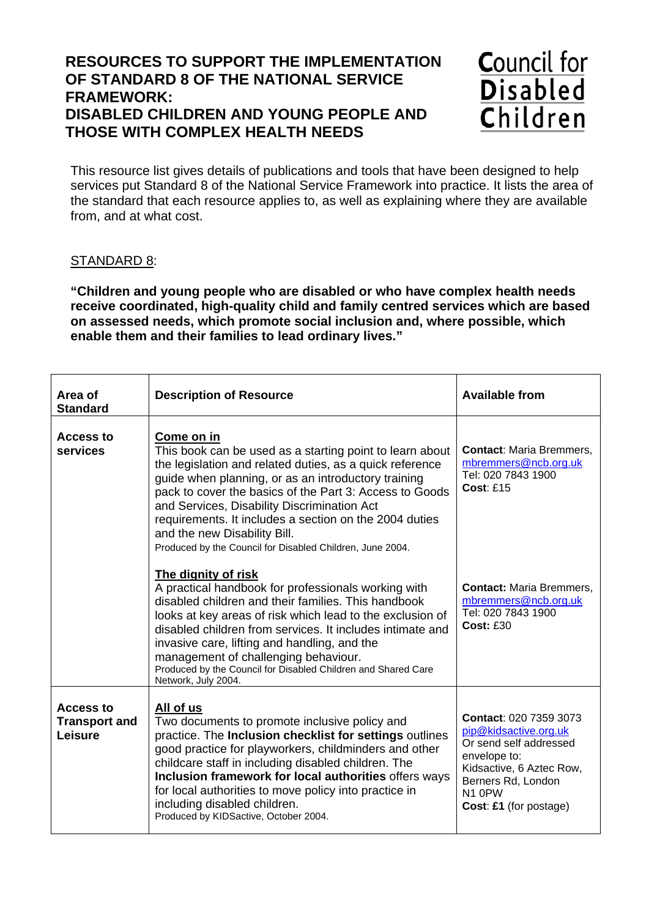# **THOSE WITH COMPLEX HEALTH NEEDS RESOURCES TO SUPPORT THE IMPLEMENTATION OF STANDARD 8 OF THE NATIONAL SERVICE FRAMEWORK: DISABLED CHILDREN AND YOUNG PEOPLE AND**



This resource list gives details of publications and tools that have been designed to help services put Standard 8 of the National Service Framework into practice. It lists the area of the standard that each resource applies to, as well as explaining where they are available from, and at what cost.

## STANDARD 8:

**"Children and young people who are disabled or who have complex health needs receive coordinated, high-quality child and family centred services which are based on assessed needs, which promote social inclusion and, where possible, which enable them and their families to lead ordinary lives."** 

| Area of<br><b>Standard</b>                   | <b>Description of Resource</b>                                                                                                                                                                                                                                                                                                                                                                                                                             | <b>Available from</b>                                                                                                                                                                              |
|----------------------------------------------|------------------------------------------------------------------------------------------------------------------------------------------------------------------------------------------------------------------------------------------------------------------------------------------------------------------------------------------------------------------------------------------------------------------------------------------------------------|----------------------------------------------------------------------------------------------------------------------------------------------------------------------------------------------------|
| <b>Access to</b><br>services                 | Come on in<br>This book can be used as a starting point to learn about<br>the legislation and related duties, as a quick reference<br>guide when planning, or as an introductory training<br>pack to cover the basics of the Part 3: Access to Goods<br>and Services, Disability Discrimination Act<br>requirements. It includes a section on the 2004 duties<br>and the new Disability Bill.<br>Produced by the Council for Disabled Children, June 2004. | <b>Contact: Maria Bremmers,</b><br>mbremmers@ncb.org.uk<br>Tel: 020 7843 1900<br>Cost: f.15                                                                                                        |
|                                              | The dignity of risk<br>A practical handbook for professionals working with<br>disabled children and their families. This handbook<br>looks at key areas of risk which lead to the exclusion of<br>disabled children from services. It includes intimate and<br>invasive care, lifting and handling, and the<br>management of challenging behaviour.<br>Produced by the Council for Disabled Children and Shared Care<br>Network, July 2004.                | <b>Contact: Maria Bremmers.</b><br>mbremmers@ncb.org.uk<br>Tel: 020 7843 1900<br><b>Cost: £30</b>                                                                                                  |
| Access to<br><b>Transport and</b><br>Leisure | All of us<br>Two documents to promote inclusive policy and<br>practice. The Inclusion checklist for settings outlines<br>good practice for playworkers, childminders and other<br>childcare staff in including disabled children. The<br>Inclusion framework for local authorities offers ways<br>for local authorities to move policy into practice in<br>including disabled children.<br>Produced by KIDSactive, October 2004.                           | <b>Contact: 020 7359 3073</b><br>pip@kidsactive.org.uk<br>Or send self addressed<br>envelope to:<br>Kidsactive, 6 Aztec Row,<br>Berners Rd, London<br>N <sub>1</sub> 0PW<br>Cost: £1 (for postage) |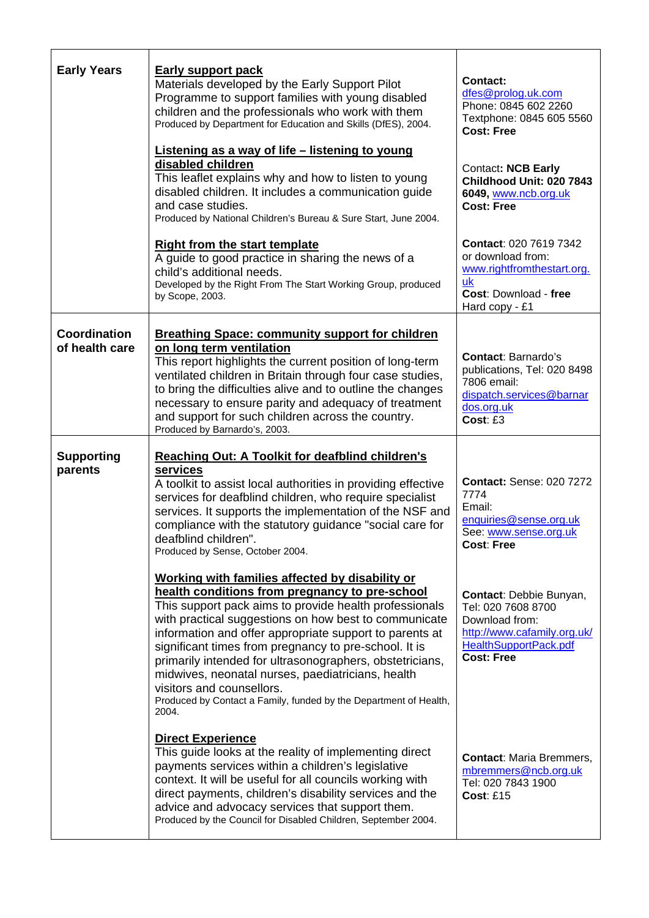| <b>Early Years</b>           | <b>Early support pack</b><br>Materials developed by the Early Support Pilot<br>Programme to support families with young disabled<br>children and the professionals who work with them<br>Produced by Department for Education and Skills (DfES), 2004.<br>Listening as a way of life – listening to young<br>disabled children<br>This leaflet explains why and how to listen to young                                                                                                                                                                               | <b>Contact:</b><br>dfes@prolog.uk.com<br>Phone: 0845 602 2260<br>Textphone: 0845 605 5560<br><b>Cost: Free</b><br><b>Contact: NCB Early</b><br>Childhood Unit: 020 7843 |
|------------------------------|----------------------------------------------------------------------------------------------------------------------------------------------------------------------------------------------------------------------------------------------------------------------------------------------------------------------------------------------------------------------------------------------------------------------------------------------------------------------------------------------------------------------------------------------------------------------|-------------------------------------------------------------------------------------------------------------------------------------------------------------------------|
|                              | disabled children. It includes a communication guide<br>and case studies.<br>Produced by National Children's Bureau & Sure Start, June 2004.                                                                                                                                                                                                                                                                                                                                                                                                                         | 6049, www.ncb.org.uk<br><b>Cost: Free</b>                                                                                                                               |
|                              | <b>Right from the start template</b><br>A guide to good practice in sharing the news of a<br>child's additional needs.<br>Developed by the Right From The Start Working Group, produced<br>by Scope, 2003.                                                                                                                                                                                                                                                                                                                                                           | Contact: 020 7619 7342<br>or download from:<br>www.rightfromthestart.org.<br>uk<br>Cost: Download - free<br>Hard copy - £1                                              |
| Coordination                 | <b>Breathing Space: community support for children</b>                                                                                                                                                                                                                                                                                                                                                                                                                                                                                                               |                                                                                                                                                                         |
| of health care               | on long term ventilation<br>This report highlights the current position of long-term<br>ventilated children in Britain through four case studies,<br>to bring the difficulties alive and to outline the changes<br>necessary to ensure parity and adequacy of treatment<br>and support for such children across the country.<br>Produced by Barnardo's, 2003.                                                                                                                                                                                                        | <b>Contact: Barnardo's</b><br>publications, Tel: 020 8498<br>7806 email:<br>dispatch.services@barnar<br>dos.org.uk<br>Cost: £3                                          |
|                              |                                                                                                                                                                                                                                                                                                                                                                                                                                                                                                                                                                      |                                                                                                                                                                         |
|                              |                                                                                                                                                                                                                                                                                                                                                                                                                                                                                                                                                                      |                                                                                                                                                                         |
| <b>Supporting</b><br>parents | <b>Reaching Out: A Toolkit for deafblind children's</b><br>services<br>A toolkit to assist local authorities in providing effective<br>services for deafblind children, who require specialist<br>services. It supports the implementation of the NSF and<br>compliance with the statutory guidance "social care for<br>deafblind children".<br>Produced by Sense, October 2004.                                                                                                                                                                                     | <b>Contact: Sense: 020 7272</b><br>7774<br>Email:<br>enquiries@sense.org.uk<br>See: www.sense.org.uk<br><b>Cost: Free</b>                                               |
|                              | Working with families affected by disability or<br>health conditions from pregnancy to pre-school<br>This support pack aims to provide health professionals<br>with practical suggestions on how best to communicate<br>information and offer appropriate support to parents at<br>significant times from pregnancy to pre-school. It is<br>primarily intended for ultrasonographers, obstetricians,<br>midwives, neonatal nurses, paediatricians, health<br>visitors and counsellors.<br>Produced by Contact a Family, funded by the Department of Health,<br>2004. | Contact: Debbie Bunyan,<br>Tel: 020 7608 8700<br>Download from:<br>http://www.cafamily.org.uk/<br>HealthSupportPack.pdf<br><b>Cost: Free</b>                            |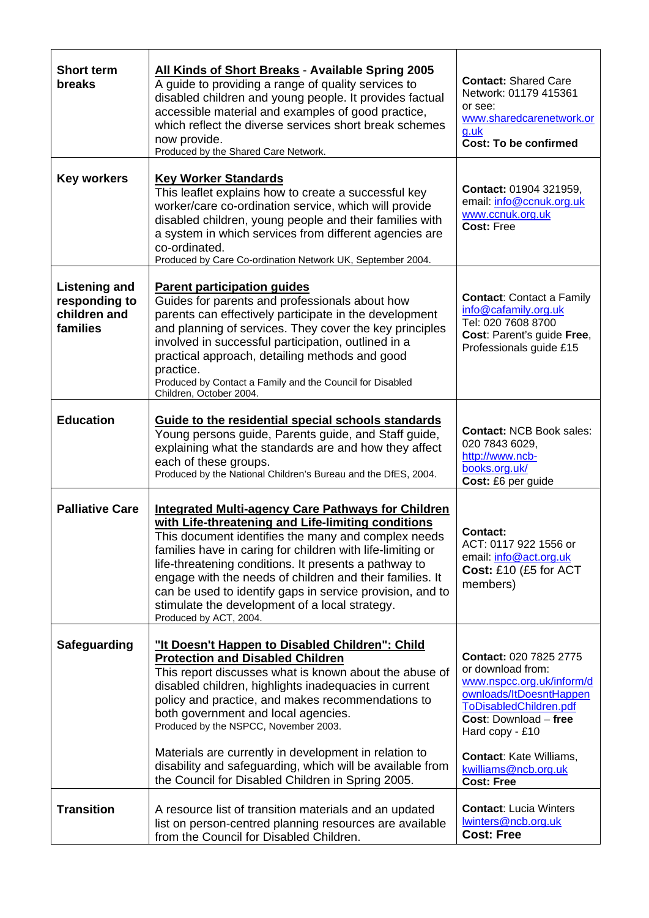| <b>Short term</b><br><b>breaks</b>                                | All Kinds of Short Breaks - Available Spring 2005<br>A guide to providing a range of quality services to<br>disabled children and young people. It provides factual<br>accessible material and examples of good practice,<br>which reflect the diverse services short break schemes<br>now provide.<br>Produced by the Shared Care Network.                                                                                                                                                                                   | <b>Contact: Shared Care</b><br>Network: 01179 415361<br>or see:<br>www.sharedcarenetwork.or<br>g.uk<br><b>Cost: To be confirmed</b>                                                                                                                             |
|-------------------------------------------------------------------|-------------------------------------------------------------------------------------------------------------------------------------------------------------------------------------------------------------------------------------------------------------------------------------------------------------------------------------------------------------------------------------------------------------------------------------------------------------------------------------------------------------------------------|-----------------------------------------------------------------------------------------------------------------------------------------------------------------------------------------------------------------------------------------------------------------|
| <b>Key workers</b>                                                | <b>Key Worker Standards</b><br>This leaflet explains how to create a successful key<br>worker/care co-ordination service, which will provide<br>disabled children, young people and their families with<br>a system in which services from different agencies are<br>co-ordinated.<br>Produced by Care Co-ordination Network UK, September 2004.                                                                                                                                                                              | Contact: 01904 321959,<br>email: info@ccnuk.org.uk<br>www.ccnuk.org.uk<br><b>Cost: Free</b>                                                                                                                                                                     |
| <b>Listening and</b><br>responding to<br>children and<br>families | <b>Parent participation guides</b><br>Guides for parents and professionals about how<br>parents can effectively participate in the development<br>and planning of services. They cover the key principles<br>involved in successful participation, outlined in a<br>practical approach, detailing methods and good<br>practice.<br>Produced by Contact a Family and the Council for Disabled<br>Children, October 2004.                                                                                                       | <b>Contact: Contact a Family</b><br>info@cafamily.org.uk<br>Tel: 020 7608 8700<br>Cost: Parent's guide Free,<br>Professionals guide £15                                                                                                                         |
| <b>Education</b>                                                  | Guide to the residential special schools standards<br>Young persons guide, Parents guide, and Staff guide,<br>explaining what the standards are and how they affect<br>each of these groups.<br>Produced by the National Children's Bureau and the DfES, 2004.                                                                                                                                                                                                                                                                | <b>Contact: NCB Book sales:</b><br>020 7843 6029,<br>http://www.ncb-<br>books.org.uk/<br>Cost: £6 per guide                                                                                                                                                     |
| <b>Palliative Care</b>                                            | <b>Integrated Multi-agency Care Pathways for Children</b><br>with Life-threatening and Life-limiting conditions<br>This document identifies the many and complex needs<br>families have in caring for children with life-limiting or<br>life-threatening conditions. It presents a pathway to<br>engage with the needs of children and their families. It<br>can be used to identify gaps in service provision, and to<br>stimulate the development of a local strategy.<br>Produced by ACT, 2004.                            | Contact:<br>ACT: 0117 922 1556 or<br>email: info@act.org.uk<br>Cost: £10 (£5 for ACT<br>members)                                                                                                                                                                |
| <b>Safeguarding</b>                                               | "It Doesn't Happen to Disabled Children": Child<br><b>Protection and Disabled Children</b><br>This report discusses what is known about the abuse of<br>disabled children, highlights inadequacies in current<br>policy and practice, and makes recommendations to<br>both government and local agencies.<br>Produced by the NSPCC, November 2003.<br>Materials are currently in development in relation to<br>disability and safeguarding, which will be available from<br>the Council for Disabled Children in Spring 2005. | <b>Contact: 020 7825 2775</b><br>or download from:<br>www.nspcc.org.uk/inform/d<br>ownloads/ltDoesntHappen<br>ToDisabledChildren.pdf<br>Cost: Download - free<br>Hard copy - £10<br><b>Contact: Kate Williams,</b><br>kwilliams@ncb.org.uk<br><b>Cost: Free</b> |
| <b>Transition</b>                                                 | A resource list of transition materials and an updated<br>list on person-centred planning resources are available<br>from the Council for Disabled Children.                                                                                                                                                                                                                                                                                                                                                                  | <b>Contact: Lucia Winters</b><br>lwinters@ncb.org.uk<br><b>Cost: Free</b>                                                                                                                                                                                       |

j.